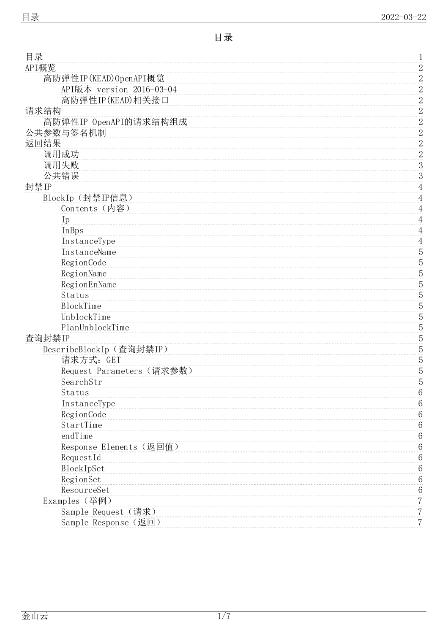<span id="page-0-0"></span>

| 目录                        | 1                |  |
|---------------------------|------------------|--|
| API概览                     | $\overline{c}$   |  |
| 高防弹性IP(KEAD)OpenAPI概览     | $\overline{c}$   |  |
| API版本 version 2016-03-04  | $\overline{2}$   |  |
| 高防弹性IP(KEAD)相关接口          | $\overline{2}$   |  |
| 请求结构                      | $\boldsymbol{2}$ |  |
| 高防弹性IP OpenAPI的请求结构组成     | $\boldsymbol{2}$ |  |
| 公共参数与签名机制                 | $\overline{2}$   |  |
| 返回结果                      | $\overline{2}$   |  |
| 调用成功                      | $\overline{2}$   |  |
| 调用失败                      | $\boldsymbol{3}$ |  |
| 公共错误                      | 3                |  |
| 封禁IP                      | $\overline{4}$   |  |
| BlockIp (封禁IP信息)          | $\overline{4}$   |  |
| Contents (内容)             | $\overline{4}$   |  |
| Ip                        | 4                |  |
| InBps                     | 4                |  |
| InstanceType              | $\overline{4}$   |  |
| InstanceName              | $\overline{5}$   |  |
| RegionCode                | $\overline{5}$   |  |
| RegionName                | $\overline{5}$   |  |
| RegionEnName              | 5                |  |
| Status                    | 5                |  |
| BlockTime                 | 5                |  |
| UnblockTime               | 5                |  |
| PlanUnblockTime           | $\overline{5}$   |  |
| 查询封禁IP                    | $\overline{5}$   |  |
| DescribeBlockIp (查询封禁IP)  | 5                |  |
| 请求方式: GET                 | 5                |  |
| Request Parameters (请求参数) | 5                |  |
| SearchStr                 | 5                |  |
| Status                    | 6                |  |
| InstanceType              | 6                |  |
| RegionCode                | 6                |  |
| StartTime                 | 6                |  |
| endTime                   | 6                |  |
| Response Elements (返回值)   | 6                |  |
| RequestId                 |                  |  |
| BlockIpSet                | 6<br>6           |  |
|                           |                  |  |
| RegionSet<br>ResourceSet  | 6<br>6           |  |
|                           |                  |  |
| Examples (举例)             | 7                |  |
| Sample Request (请求)       | 7                |  |
| Sample Response (返回)      | 7                |  |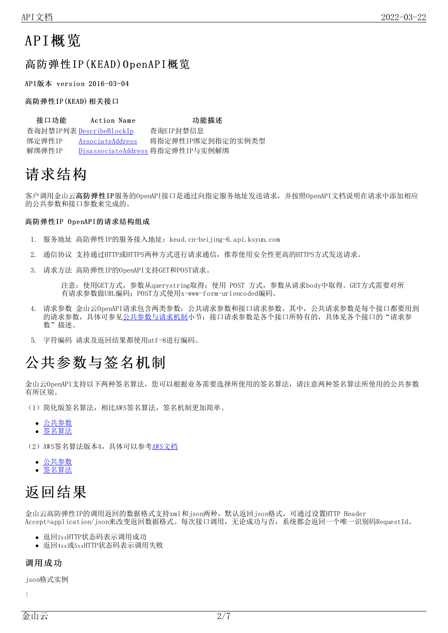# <span id="page-1-0"></span>API概览

## <span id="page-1-1"></span>高防弹性IP(KEAD)OpenAPI概览

<span id="page-1-2"></span>API版本 version 2016-03-04

#### <span id="page-1-3"></span>高防弹性IP(KEAD)相关接口

| 接口功能   | Action Name              | 功能描述                             |
|--------|--------------------------|----------------------------------|
|        | 杳询封禁IP列表 DescribeBlockIp | 香询EIP封禁信息                        |
| 绑定弹性IP | AssociateAddress         | 将指定弹性IP绑定到指定的实例类型                |
| 解绑弹性IP |                          | DisassociateAddress 将指定弹性IP与实例解绑 |

# <span id="page-1-4"></span>请求结构

客户调用金山云高防弹性IP服务的OpenAPI接口是通过向指定服务地址发送请求,并按照OpenAPI文档说明在请求中添加相应 的公共参数和接口参数来完成的。

#### <span id="page-1-5"></span>高防弹性IP OpenAPI的请求结构组成

- 1. 服务地址 高防弹性IP的服务接入地址: kead. cn-beijing-6. api. ksyun. com
- 2. 通信协议 支持通过HTTP或HTTPS两种方式进行请求通信,推荐使用安全性更高的HTTPS方式发送请求。
- 3. 请求方法 高防弹性IP的OpenAPI支持GET和POST请求。

注意:使用GET方式,参数从querystring取得;使用 POST 方式,参数从请求body中取得。GET方式需要对所 有请求参数做URL编码;POST方式使用x-www-form-urlencoded编码。

- 4. 请求参数 金山云OpenAPI请求包含两类参数:公共请求参数和接口请求参数。其中,公共请求参数是每个接口都要用到 的请求参数,具体可参见[公共参数与请求机制](https://docs.ksyun.com/documents/40376)小节;接口请求参数是各个接口所特有的,具体见各个接口的"请求参 数"描述。
- 5. 字符编码 请求及返回结果都使用utf-8进行编码。

# <span id="page-1-6"></span>公共参数与签名机制

金山云OpenAPI支持以下两种签名算法,您可以根据业务需要选择所使用的签名算法,请注意两种签名算法所使用的公共参数 有所区别。

- (1)简化版签名算法,相比AWS签名算法,签名机制更加简单。
	- [公共参数](https://docs.ksyun.com/documents/40297)  $\bullet$ [签名算法](https://docs.ksyun.com/documents/40298)  $\bullet$
- (2) AWS签名算法版本4, 具体可以参考[AWS文档](http://docs.aws.amazon.com/general/latest/gr/signature-version-4.html)
	- [公共参数](https://docs.ksyun.com/documents/40308)
	- [签名算法](https://docs.ksyun.com/documents/40309)

# <span id="page-1-7"></span>返回结果

金山云高防弹性IP的调用返回的数据格式支持xml和json两种,默认返回json格式,可通过设置HTTP Header Accept=application/json来改变返回数据格式。每次接口调用,无论成功与否,系统都会返回一个唯一识别码RequestId。

- 返回2xxHTTP状态码表示调用成功
- 返回4xx或5xxHTTP状态码表示调用失败

### <span id="page-1-8"></span>调用成功

json格式实例

{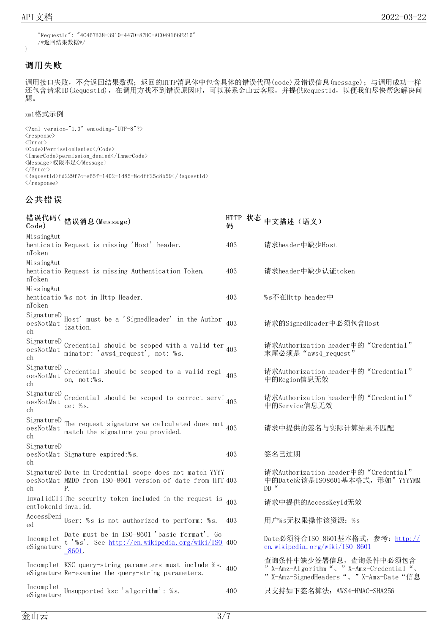}

```
"RequestId": "4C467B38-3910-447D-87BC-AC049166F216"
/*返回结果数据*/
```
### <span id="page-2-0"></span>调用失败

调用接口失败,不会返回结果数据;返回的HTTP消息体中包含具体的错误代码(code)及错误信息(message);与调用成功一样 还包含请求ID(RequestId), 在调用方找不到错误原因时, 可以联系金山云客服, 并提供RequestId, 以便我们尽快帮您解决问 题。

#### xml格式示例

 $\langle ?xm1 \rangle$  version="1.0" encoding="UTF-8"?>  $\langle$ response $\rangle$  $\langle$ Error $\rangle$ <Code>PermissionDenied</Code> <InnerCode>permission\_denied</InnerCode> <Message>权限不足</Message>  $\langle /Error \rangle$  $\label{eq:reduced} \langle \text{RequestId}\rangle\text{fd}229\text{f}7\text{c}-\text{e}65\text{f}-1402-\text{1d}85-8\text{c} \text{df}\text{f}25\text{c}8\text{b}59\text{<}\text{/RequestId}\rangle$  $\langle$ /response $\rangle$ 

### <span id="page-2-1"></span>公共错误

| Code)                                                                                       | 错误代码(错误消息(Message)                                                                                                         | 码   | HTTP 状态 中文描述 (语义)                                                                                                 |
|---------------------------------------------------------------------------------------------|----------------------------------------------------------------------------------------------------------------------------|-----|-------------------------------------------------------------------------------------------------------------------|
| MissingAut<br>nToken                                                                        | henticatio Request is missing 'Host' header.                                                                               | 403 | 请求header中缺少Host                                                                                                   |
| MissingAut<br>nToken                                                                        | henticatio Request is missing Authentication Token.                                                                        | 403 | 请求header中缺少认证token                                                                                                |
| MissingAut<br>nToken                                                                        | henticatio %s not in Http Header.                                                                                          | 403 | %s不在Http header中                                                                                                  |
| SignatureD<br>$o$ es<br>Not<br><br>Mat<br>ch                                                | Host' must be a 'SignedHeader' in the Author<br>ization.                                                                   | 403 | 请求的SignedHeader中必须包含Host                                                                                          |
| SignatureD<br>${\tt o}\, {\tt es}\, {\tt No}\, {\tt t}\, {\tt Mat}$<br>ch                   | Credential should be scoped with a valid ter $403$ minator: 'aws4_request', not: %s.                                       |     | 请求Authorization header中的"Credential"<br>末尾必须是 "aws4 request"                                                      |
| SignatureD<br>${\tt o}\, {\tt es}\allowbreak {\tt No}\, {\tt t}\allowbreak {\tt Mat}$<br>ch | Credential should be scoped to a valid regi<br>on, not:%s.                                                                 | 403 | 请求Authorization header中的"Credential"<br>中的Region信息无效                                                              |
| SignatureD<br>${\tt o}\, {\tt es}\, {\tt No}\, {\tt t}\, {\tt Mat}$<br>ch                   | Credential should be scoped to correct servi <sub>403</sub><br>ce: $% s.$                                                  |     | 请求Authorization header中的"Credential"<br>中的Service信息无效                                                             |
| SignatureD<br>oesNotMat<br>ch                                                               | The request signature we calculated does not $_{403}$<br>match the signature you provided.                                 |     | 请求中提供的签名与实际计算结果不匹配                                                                                                |
| SignatureD<br>ch                                                                            | oesNotMat Signature expired:%s.                                                                                            | 403 | 签名己过期                                                                                                             |
| ch                                                                                          | SignatureD Date in Credential scope does not match YYYY<br>oesNotMat MMDD from ISO-8601 version of date from HTT 403<br>Ρ. |     | 请求Authorization header中的"Credential"<br>中的Date应该是IS08601基本格式,形如"YYYYMM<br>$DD$ "                                  |
| entTokenId invalid.                                                                         | InvalidCliThe security token included in the request is                                                                    | 403 | 请求中提供的AccessKeyId无效                                                                                               |
| AccessDeni<br>ed                                                                            | User: %s is not authorized to perform: %s.                                                                                 | 403 | 用户%s无权限操作该资源: %s                                                                                                  |
| Incomplet<br>eSignature                                                                     | Date must be in ISO-8601 'basic format'. Go<br>t '%s'. See http://en.wikipedia.org/wiki/ISO 400<br>8601.                   |     | Date必须符合ISO_8601基本格式, 参考: http://<br>en. wikipedia. org/wiki/ISO 8601                                             |
|                                                                                             | Incomplet KSC query-string parameters must include %s.<br>eSignature Re-examine the query-string parameters.               | 400 | 查询条件中缺少签署信息, 查询条件中必须包含<br>" X-Amz-Algorithm ", " X-Amz-Credential ",<br>" X-Amz-SignedHeaders "、 " X-Amz-Date "信息 |
| Incomplet<br>eSignature                                                                     | Unsupported ksc 'algorithm': %s.                                                                                           | 400 | 只支持如下签名算法: AWS4-HMAC-SHA256                                                                                       |
|                                                                                             |                                                                                                                            |     |                                                                                                                   |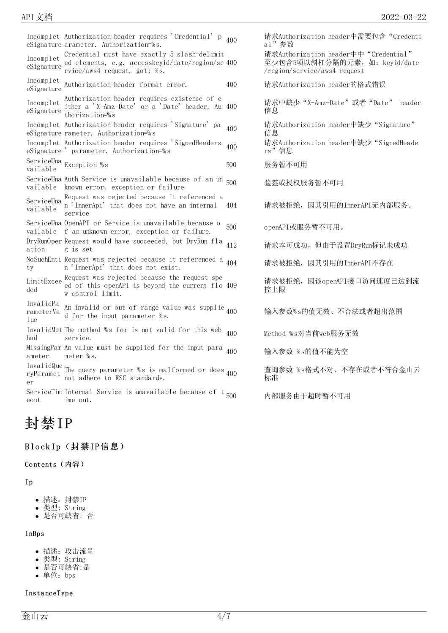Incomplet Authorization header requires 'Credential' p eSignature arameter. Authorization=% s. Incomplet Credential must have exactly 5 slash-delimit eSignature ed elements, e.g. accesskeyid/date/region/se rvice/aws4\_request, got: % s. 400 Incomplet eSignature Authorization header format error. 400 请求Authorization header的格式错误 Incomplet Authorization header requires existence of e eSignature thorization=% s ither a 'X-Amz-Date' or a 'Date' header, Au Incomplet Authorization header requires 'Signature' pa eSignature rameter. Authorization=% s Incomplet Authorization header requires 'SignedHeaders eSignature ' parameter. Authorization=% s ServiceUna<br>
http://www.com/sourceused.com/sourceused.com/sourceused.com/sourceused.com/sourceused.com/sourceused.com/sour<br>
http://www.com/sourceused.com/sourceused.com/sourceused.com/sourceused.com/sourceused.com/sourceus vailable ServiceUna Auth Service is unavailable because of an un vailable known error, exception or failure ServiceUna Request was rejected because it referenced a vailable n 'InnerApi' that does not have an internal service ServiceUna OpenAPI or Service is unavailable because o vailable f an unknown error, exception or failure. DryRunOper Request would have succeeded, but DryRun fla ation g is set NoSuchEnti Request was rejected because it referenced a ty n 'InnerApi' that does not exist. LimitExcee Request was rejected because the request spe ded ed of this openAPI is beyond the current flo w control limit. InvalidPa rameterVa An invalid or out-of-range value was supplie lue d for the input parameter % s. InvalidMet The method %s for is not valid for this web hod service. MissingPar An value must be supplied for the input para ameter meter % s. InvalidQue ryParamet The query parameter % s is malformed or does ryraramet not adhere to KSC standards.<br>er ServiceTim Internal Service is unavailable because of t eout ime out.

# <span id="page-3-0"></span>封禁IP

#### <span id="page-3-1"></span>Block Ip(封禁IP信息)

<span id="page-3-2"></span>Co ntents(内容)

#### <span id="page-3-3"></span>Ip

- 描述:封禁IP
- 类型: String
- 是否可缺省: 否

#### <span id="page-3-4"></span>InBps

- 描述:攻击流量
- 类型: String
- 是否可缺省:是
- 单位:bps

#### <span id="page-3-5"></span>Insta nceType

<sup>400</sup> 请求Authorization header中需要包含"Credenti al"参数

请求Authorization header中中"Credential" 至少包含5项以斜杠分隔的元素,如:keyid/date /region/service/aws4\_request

请求中缺少"X-Amz-Date"或者"Date" header<br>信息

<sup>400</sup> 请求Authorization header中缺少"Signature" 信息

400 请求Authorization header中缺少 "SignedHeade rs"信息

验签或授权服务暂不可用

404 请求被拒绝,因其引用的InnerAPI无内部服务。

500 openAPI或服务暂不可用。

412 请求本可成功,但由于设置DryRun标记未成功

请求被拒绝, 因其引用的InnerAPI不存在

请求被拒绝, 因该openAPI接口访问速度已达到流 控上限

400 输入参数% s的值无效、不合法或者超出范围

400 Method % s对当前web服务无效

400 输入参数 % s的值不能为空

查询参数 % s格式不对、不存在或者不符合金山云 标准

内部服务由于超时暂不可用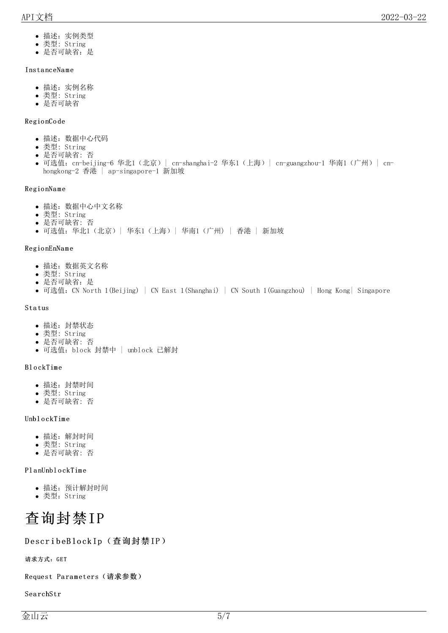- 描述:实例类型
- 类型: String
- 是否可缺省:是

#### <span id="page-4-0"></span>Insta nceNa m e

- 描述:实例名称
- 类型: String
- 是否可缺省

#### <span id="page-4-1"></span>Regio nCo de

- 描述:数据中心代码
- 类型: String
- 是否可缺省: 否
- 可选值: cn-beijing-6 华北1 (北京) | cn-shanghai-2 华东1 (上海) | cn-guangzhou-1 华南1 (广州) | cnhongkong-2 香港 | ap-singapore-1 新加坡

#### <span id="page-4-2"></span>Regio nNa m e

- 描述:数据中心中文名称
- 类型: String
- 是否可缺省: 否
- 可选值:华北1(北京)| 华东1(上海)| 华南1(广州) | 香港 | 新加坡

#### <span id="page-4-3"></span>Regio nEnNa m e

- 描述:数据英文名称
- 类型: String
- 是否可缺省:是
- 可选值: CN North 1(Beijing) | CN East 1(Shanghai) | CN South 1(Guangzhou) | Hong Kong| Singapore

#### <span id="page-4-4"></span>Sta tus

- 描述:封禁状态
- 类型: String
- 是否可缺省: 否
- 可选值:block 封禁中 | unblock 已解封

### <span id="page-4-5"></span>Bl o ckTim e

- 描述:封禁时间
- 类型: String
- 是否可缺省: 否

#### <span id="page-4-6"></span>UnblockTime

- 描述:解封时间
- 类型: String
- 是否可缺省: 否

### <span id="page-4-7"></span>PlanUnblockTime

- 描述:预计解封时间
- 类型:String

<span id="page-4-8"></span>

### <span id="page-4-9"></span>DescribeBlockIp(查询封禁IP)

<span id="page-4-10"></span>请求方式:GET

<span id="page-4-11"></span>Request Parameters (请求参数)

<span id="page-4-12"></span>Sea rchStr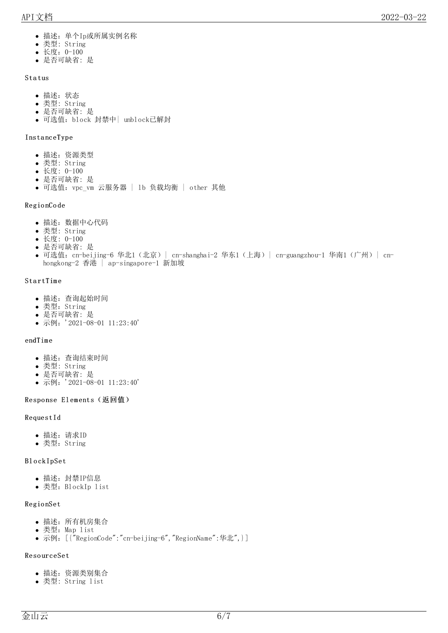- 描述:单个Ip或所属实例名称
- 类型: String
- 长度:0-100
- 是否可缺省: 是

#### <span id="page-5-0"></span>Sta tus

- 描述:状态
- 类型: String
- 是否可缺省: 是
- 可选值:block 封禁中| unblock已解封

#### <span id="page-5-1"></span>Insta nceType

- 描述:资源类型
- 类型: String
- 长度: 0-100
- 是否可缺省: 是
- 可选值: vpc\_vm 云服务器 | 1b 负载均衡 | other 其他

#### <span id="page-5-2"></span>Regio nCo de

- 描述:数据中心代码
- 类型: String
- 长度: 0-100
- 是否可缺省: 是
- 可选值: cn-beijing-6 华北1 (北京) | cn-shanghai-2 华东1 (上海) | cn-guangzhou-1 华南1 (广州) | cnhongkong-2 香港 | ap-singapore-1 新加坡

#### <span id="page-5-3"></span>**StartTime**

- 描述:查询起始时间
- 类型: String
- 是否可缺省: 是
- 示例: '2021-08-01 11:23:40'

#### <span id="page-5-4"></span>endTim e

- 描述:查询结束时间
- 类型: String
- 是否可缺省: 是
- 示例: '2021-08-01 11:23:40'

#### <span id="page-5-5"></span>Response Elements (返回值)

#### <span id="page-5-6"></span>RequestId

- 描述:请求ID
- 类型:String

#### <span id="page-5-7"></span>Bl o ckIpSet

- 描述:封禁IP信息
- 类型:BlockIp list

#### <span id="page-5-8"></span>Regio nSet

- 描述:所有机房集合
- 类型:Map list
- 示例: [{"RegionCode":"cn-beijing-6","RegionName":华北",}]

#### <span id="page-5-9"></span>Reso urceSet

- 描述:资源类别集合
- 类型: String list